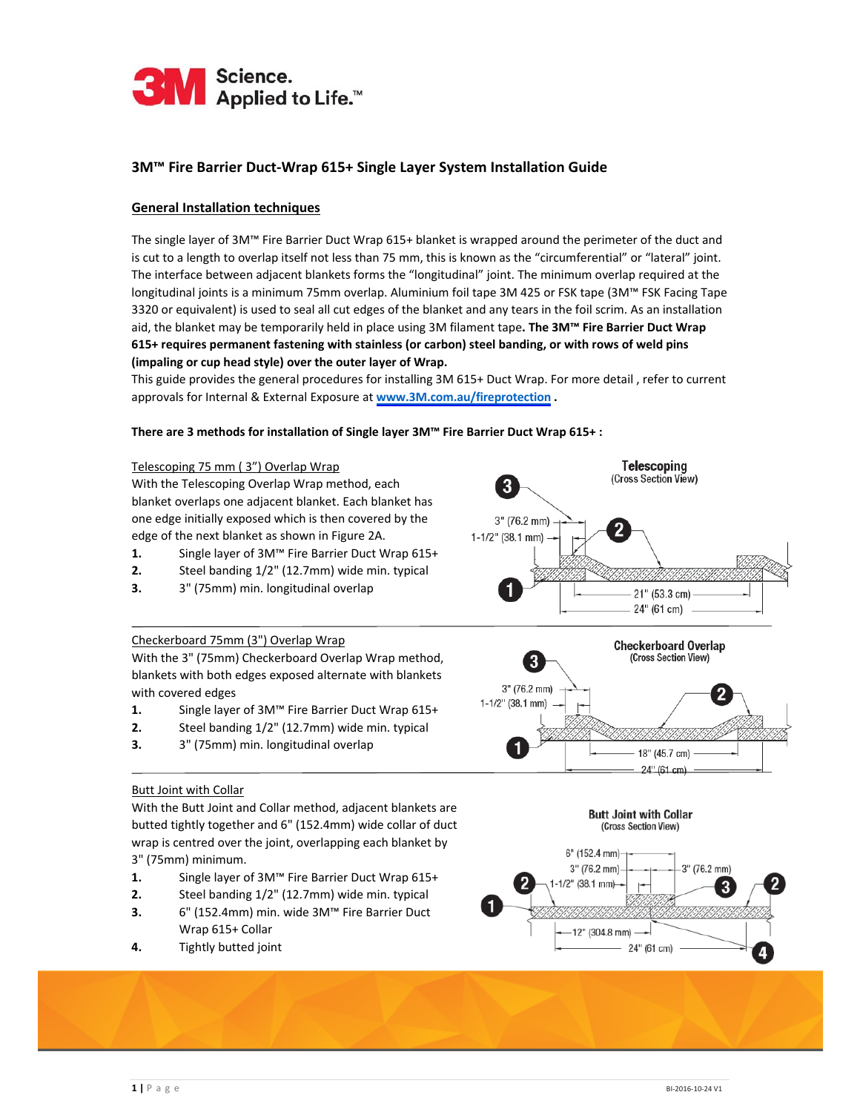

## **3M™ Fire Barrier Duct‐Wrap 615+ Single Layer System Installation Guide**

### **General Installation techniques**

The single layer of 3M™ Fire Barrier Duct Wrap 615+ blanket is wrapped around the perimeter of the duct and is cut to a length to overlap itself not less than 75 mm, this is known as the "circumferential" or "lateral" joint. The interface between adjacent blankets forms the "longitudinal" joint. The minimum overlap required at the longitudinal joints is a minimum 75mm overlap. Aluminium foil tape 3M 425 or FSK tape (3M™ FSK Facing Tape 3320 or equivalent) is used to seal all cut edges of the blanket and any tears in the foil scrim. As an installation aid, the blanket may be temporarily held in place using 3M filament tape**. The 3M™ Fire Barrier Duct Wrap 615+ requires permanent fastening with stainless (or carbon) steel banding, or with rows of weld pins (impaling or cup head style) over the outer layer of Wrap.** 

This guide provides the general procedures for installing 3M 615+ Duct Wrap. For more detail , refer to current approvals for Internal & External Exposure at **[www.3M.com.au/fireprotection](http://www.firestopcentre.co.nz/system-selector/3m-duct-wrap-615-25517w-internal/) .**

> 3" (76.2 mm) 1-1/2" (38.1 mm)

#### **There are 3 methods for installation of Single layer 3M™ Fire Barrier Duct Wrap 615+ :**

#### Telescoping 75 mm ( 3") Overlap Wrap

With the Telescoping Overlap Wrap method, each blanket overlaps one adjacent blanket. Each blanket has one edge initially exposed which is then covered by the edge of the next blanket as shown in Figure 2A.

- **1.** Single layer of 3M™ Fire Barrier Duct Wrap 615+
- **2.** Steel banding 1/2" (12.7mm) wide min. typical
- **3.** 3" (75mm) min. longitudinal overlap

# 21" (53.3 cm) 24" (61 cm) **Checkerboard Overlap** (Cross Section View) 3 3" (76.2 mm)  $1-1/2$ " (38.1 mm) 18" (45.7 cm)

**Telescoping** (Cross Section View)

## Checkerboard 75mm (3") Overlap Wrap

With the 3" (75mm) Checkerboard Overlap Wrap method, blankets with both edges exposed alternate with blankets with covered edges

- **1.** Single layer of 3M™ Fire Barrier Duct Wrap 615+
- **2.** Steel banding 1/2" (12.7mm) wide min. typical
- **3.** 3" (75mm) min. longitudinal overlap

#### Butt Joint with Collar

With the Butt Joint and Collar method, adjacent blankets are butted tightly together and 6" (152.4mm) wide collar of duct wrap is centred over the joint, overlapping each blanket by 3" (75mm) minimum.

- **1.** Single layer of 3M™ Fire Barrier Duct Wrap 615+
- **2.** Steel banding 1/2" (12.7mm) wide min. typical
- **3.** 6" (152.4mm) min. wide 3M™ Fire Barrier Duct Wrap 615+ Collar
- **4.** Tightly butted joint



24" (61 cm)